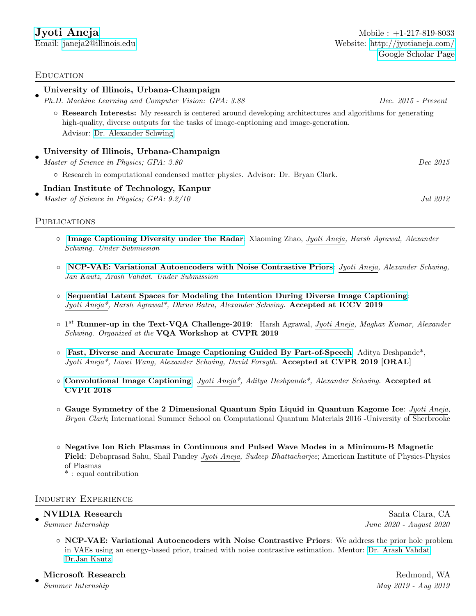# **EDUCATION**

| $\bullet$ | University of Illinois, Urbana-Champaign                                                                                                                                                                                               |                       |
|-----------|----------------------------------------------------------------------------------------------------------------------------------------------------------------------------------------------------------------------------------------|-----------------------|
|           | Ph.D. Machine Learning and Computer Vision: GPA: 3.88                                                                                                                                                                                  | $Dec. 2015$ - Present |
|           | ○ Research Interests: My research is centered around developing architectures and algorithms for generating<br>high-quality, diverse outputs for the tasks of image-captioning and image-generation.<br>Advisor: Dr. Alexander Schwing |                       |
|           | University of Illinois, Urbana-Champaign<br>Master of Science in Physics; GPA: 3.80                                                                                                                                                    | Dec 2015              |
|           | o Research in computational condensed matter physics. Advisor: Dr. Bryan Clark.                                                                                                                                                        |                       |
|           | Indian Institute of Technology, Kanpur<br>Master of Science in Physics; GPA: 9.2/10                                                                                                                                                    | Jul 2012              |

## PUBLICATIONS

- [Image Captioning Diversity under the Radar](http://jyotianeja.com/): Xiaoming Zhao, Jyoti Aneja, Harsh Agrawal, Alexander Schwing. Under Submission
- [NCP-VAE: Variational Autoencoders with Noise Contrastive Priors](https://arxiv.org/pdf/2010.02917.pdf): Jyoti Aneja, Alexander Schwing, Jan Kautz, Arash Vahdat. Under Submission
- [Sequential Latent Spaces for Modeling the Intention During Diverse Image Captioning](http://openaccess.thecvf.com/content_ICCV_2019/papers/Aneja_Sequential_Latent_Spaces_for_Modeling_the_Intention_During_Diverse_Image_ICCV_2019_paper.pdf): Jyoti Aneja\*, Harsh Agrawal\*, Dhruv Batra, Alexander Schwing. Accepted at ICCV 2019
- $\circ$  1<sup>st</sup> Runner-up in the Text-VQA Challenge-2019: Harsh Agrawal, Jyoti Aneja, Maghav Kumar, Alexander Schwing. Organized at the VQA Workshop at CVPR 2019
- [Fast, Diverse and Accurate Image Captioning Guided By Part-of-Speech](http://openaccess.thecvf.com/content_CVPR_2019/papers/Deshpande_Fast_Diverse_and_Accurate_Image_Captioning_Guided_by_Part-Of-Speech_CVPR_2019_paper.pdf): Aditya Deshpande\*, Jyoti Aneja\*, Liwei Wang, Alexander Schwing, David Forsyth. Accepted at CVPR 2019 [ORAL]
- [Convolutional Image Captioning](http://openaccess.thecvf.com/content_cvpr_2018/papers/Aneja_Convolutional_Image_Captioning_CVPR_2018_paper.p df): Jyoti Aneja\*, Aditya Deshpande\*, Alexander Schwing. Accepted at CVPR 2018
- Gauge Symmetry of the 2 Dimensional Quantum Spin Liquid in Quantum Kagome Ice: Jyoti Aneja, Bryan Clark; International Summer School on Computational Quantum Materials 2016 -University of Sherbrooke
- Negative Ion Rich Plasmas in Continuous and Pulsed Wave Modes in a Minimum-B Magnetic Field: Debaprasad Sahu, Shail Pandey Jyoti Aneja, Sudeep Bhattacharjee; American Institute of Physics-Physics of Plasmas

\* : equal contribution

### Industry Experience

#### • NVIDIA Research Santa Clara, CA

Summer Internship June 2020 - August 2020

◦ NCP-VAE: Variational Autoencoders with Noise Contrastive Priors: We address the prior hole problem in VAEs using an energy-based prior, trained with noise contrastive estimation. Mentor: [Dr. Arash Vahdat,](http://latentspace.cc/arash_vahdat/) [Dr.Jan Kautz](http://jankautz.com/)

Microsoft Research **Redmond, WA** 

•

Summer Internship May 2019 - Aug 2019